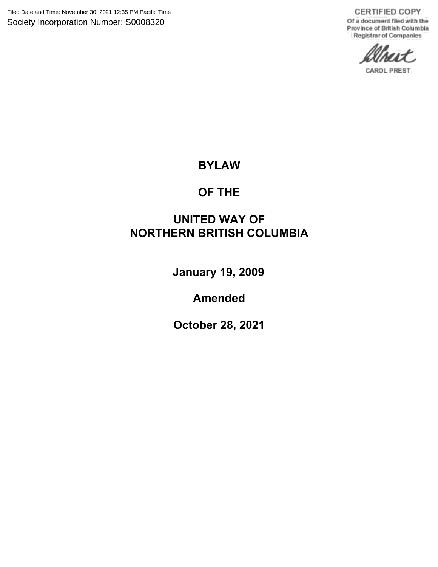Filed Date and Time: November 30, 2021 12:35 PM Pacific Time Society Incorporation Number: S0008320

**CERTIFIED COPY** Of a document filed with the Province of British Columbia Registrar of Companies

**CAROL PREST** 

# **BYLAW**

# **OF THE**

# **UNITED WAY OF NORTHERN BRITISH COLUMBIA**

**January 19, 2009**

**Amended**

**October 28, 2021**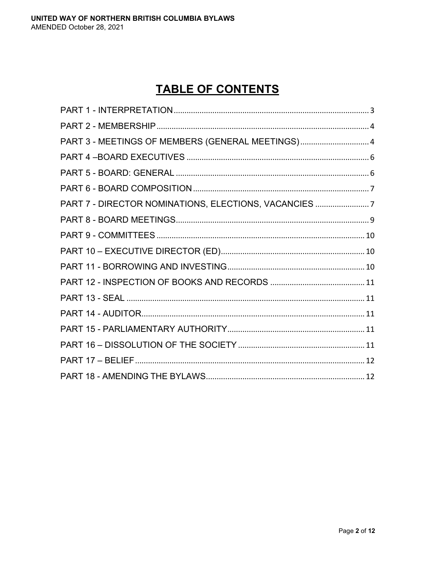# **TABLE OF CONTENTS**

| PART 3 - MEETINGS OF MEMBERS (GENERAL MEETINGS) 4   |  |
|-----------------------------------------------------|--|
|                                                     |  |
|                                                     |  |
|                                                     |  |
| PART 7 - DIRECTOR NOMINATIONS, ELECTIONS, VACANCIES |  |
|                                                     |  |
|                                                     |  |
|                                                     |  |
|                                                     |  |
|                                                     |  |
|                                                     |  |
|                                                     |  |
|                                                     |  |
|                                                     |  |
|                                                     |  |
|                                                     |  |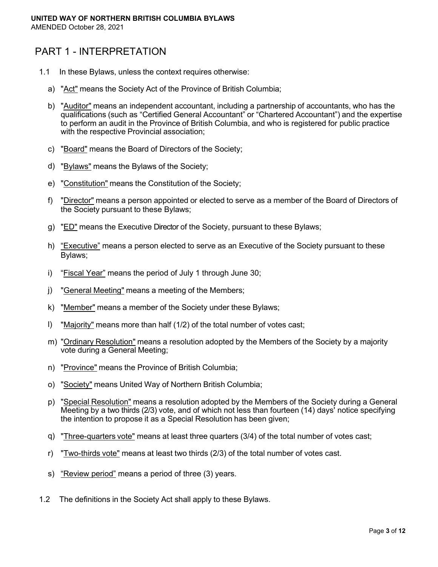# <span id="page-2-0"></span>PART 1 - INTERPRETATION

- 1.1 In these Bylaws, unless the context requires otherwise:
	- a) "Act" means the Society Act of the Province of British Columbia;
	- b) "Auditor" means an independent accountant, including a partnership of accountants, who has the qualifications (such as "Certified General Accountant" or "Chartered Accountant") and the expertise to perform an audit in the Province of British Columbia, and who is registered for public practice with the respective Provincial association;
	- c) "Board" means the Board of Directors of the Society;
	- d) "Bylaws" means the Bylaws of the Society;
	- e) "Constitution" means the Constitution of the Society;
	- f) "Director" means a person appointed or elected to serve as a member of the Board of Directors of the Society pursuant to these Bylaws;
	- g) "ED" means the Executive Director of the Society, pursuant to these Bylaws;
	- h) "Executive" means a person elected to serve as an Executive of the Society pursuant to these Bylaws;
	- i) "Fiscal Year" means the period of July 1 through June 30;
	- j) "General Meeting" means a meeting of the Members;
	- k) "Member" means a member of the Society under these Bylaws;
	- l) "Majority" means more than half (1/2) of the total number of votes cast;
	- m) "Ordinary Resolution" means a resolution adopted by the Members of the Society by a majority vote during a General Meeting;
	- n) "Province" means the Province of British Columbia;
	- o) "Society" means United Way of Northern British Columbia;
	- p) "Special Resolution" means a resolution adopted by the Members of the Society during a General Meeting by a two thirds (2/3) vote, and of which not less than fourteen (14) days' notice specifying the intention to propose it as a Special Resolution has been given;
	- q) "Three-quarters vote" means at least three quarters (3/4) of the total number of votes cast;
	- r) "Two-thirds vote" means at least two thirds (2/3) of the total number of votes cast.
	- s) "Review period" means a period of three (3) years.
- 1.2 The definitions in the Society Act shall apply to these Bylaws.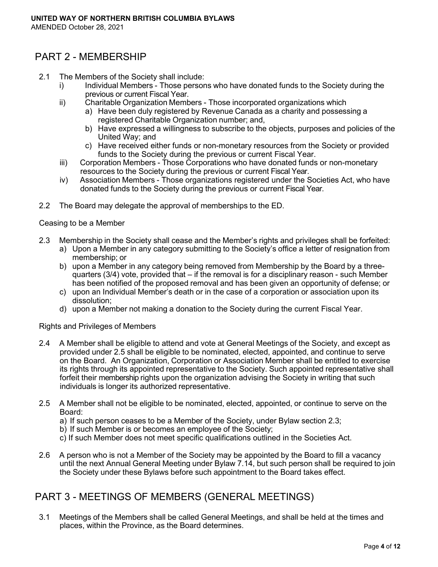# <span id="page-3-0"></span>PART 2 - MEMBERSHIP

- 2.1 The Members of the Society shall include:
	- i) Individual Members Those persons who have donated funds to the Society during the previous or current Fiscal Year.
	- ii) Charitable Organization Members Those incorporated organizations which
		- a) Have been duly registered by Revenue Canada as a charity and possessing a registered Charitable Organization number; and,
		- b) Have expressed a willingness to subscribe to the objects, purposes and policies of the United Way; and
		- c) Have received either funds or non-monetary resources from the Society or provided funds to the Society during the previous or current Fiscal Year.
	- iii) Corporation Members Those Corporations who have donated funds or non-monetary resources to the Society during the previous or current Fiscal Year.
	- iv) Association Members Those organizations registered under the Societies Act, who have donated funds to the Society during the previous or current Fiscal Year.
- 2.2 The Board may delegate the approval of memberships to the ED.

#### Ceasing to be a Member

- 2.3 Membership in the Society shall cease and the Member's rights and privileges shall be forfeited:
	- a) Upon a Member in any category submitting to the Society's office a letter of resignation from membership; or
	- b) upon a Member in any category being removed from Membership by the Board by a threequarters (3/4) vote, provided that – if the removal is for a disciplinary reason - such Member has been notified of the proposed removal and has been given an opportunity of defense; or
	- c) upon an Individual Member's death or in the case of a corporation or association upon its dissolution;
	- d) upon a Member not making a donation to the Society during the current Fiscal Year.

#### Rights and Privileges of Members

- 2.4 A Member shall be eligible to attend and vote at General Meetings of the Society, and except as provided under 2.5 shall be eligible to be nominated, elected, appointed, and continue to serve on the Board. An Organization, Corporation or Association Member shall be entitled to exercise its rights through its appointed representative to the Society. Such appointed representative shall forfeit their membership rights upon the organization advising the Society in writing that such individuals is longer its authorized representative.
- 2.5 A Member shall not be eligible to be nominated, elected, appointed, or continue to serve on the Board:
	- a) If such person ceases to be a Member of the Society, under Bylaw section 2.3;
	- b) If such Member is or becomes an employee of the Society;
	- c) If such Member does not meet specific qualifications outlined in the Societies Act.
- 2.6 A person who is not a Member of the Society may be appointed by the Board to fill a vacancy until the next Annual General Meeting under Bylaw 7.14, but such person shall be required to join the Society under these Bylaws before such appointment to the Board takes effect.

# <span id="page-3-1"></span>PART 3 - MEETINGS OF MEMBERS (GENERAL MEETINGS)

3.1 Meetings of the Members shall be called General Meetings, and shall be held at the times and places, within the Province, as the Board determines.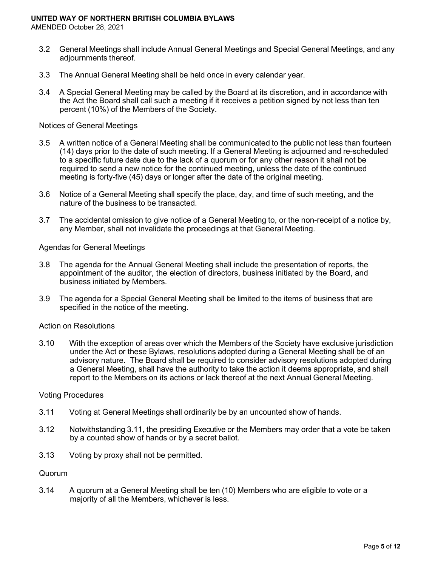- 3.2 General Meetings shall include Annual General Meetings and Special General Meetings, and any adjournments thereof.
- 3.3 The Annual General Meeting shall be held once in every calendar year.
- 3.4 A Special General Meeting may be called by the Board at its discretion, and in accordance with the Act the Board shall call such a meeting if it receives a petition signed by not less than ten percent (10%) of the Members of the Society.

#### Notices of General Meetings

- 3.5 A written notice of a General Meeting shall be communicated to the public not less than fourteen (14) days prior to the date of such meeting. If a General Meeting is adjourned and re-scheduled to a specific future date due to the lack of a quorum or for any other reason it shall not be required to send a new notice for the continued meeting, unless the date of the continued meeting is forty-five (45) days or longer after the date of the original meeting.
- 3.6 Notice of a General Meeting shall specify the place, day, and time of such meeting, and the nature of the business to be transacted.
- 3.7 The accidental omission to give notice of a General Meeting to, or the non-receipt of a notice by, any Member, shall not invalidate the proceedings at that General Meeting.

#### Agendas for General Meetings

- 3.8 The agenda for the Annual General Meeting shall include the presentation of reports, the appointment of the auditor, the election of directors, business initiated by the Board, and business initiated by Members.
- 3.9 The agenda for a Special General Meeting shall be limited to the items of business that are specified in the notice of the meeting.

#### Action on Resolutions

3.10 With the exception of areas over which the Members of the Society have exclusive jurisdiction under the Act or these Bylaws, resolutions adopted during a General Meeting shall be of an advisory nature. The Board shall be required to consider advisory resolutions adopted during a General Meeting, shall have the authority to take the action it deems appropriate, and shall report to the Members on its actions or lack thereof at the next Annual General Meeting.

#### Voting Procedures

- 3.11 Voting at General Meetings shall ordinarily be by an uncounted show of hands.
- 3.12 Notwithstanding 3.11, the presiding Executive or the Members may order that a vote be taken by a counted show of hands or by a secret ballot.
- 3.13 Voting by proxy shall not be permitted.

#### Quorum

3.14 A quorum at a General Meeting shall be ten (10) Members who are eligible to vote or a majority of all the Members, whichever is less.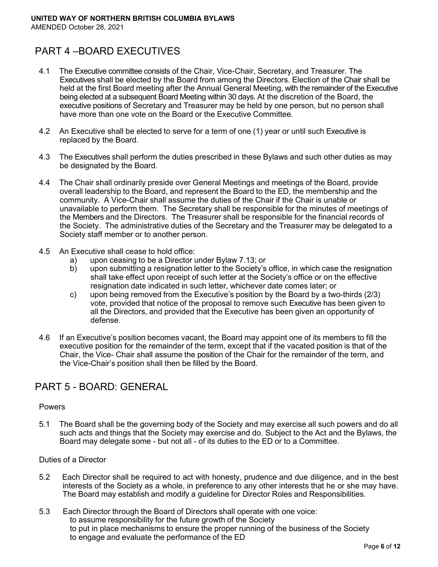# <span id="page-5-0"></span>PART 4 –BOARD EXECUTIVES

- 4.1 The Executive committee consists of the Chair, Vice-Chair, Secretary, and Treasurer. The Executives shall be elected by the Board from among the Directors. Election of the Chair shall be held at the first Board meeting after the Annual General Meeting, with the remainder of the Executive being elected at a subsequent Board Meeting within 30 days. At the discretion of the Board, the executive positions of Secretary and Treasurer may be held by one person, but no person shall have more than one vote on the Board or the Executive Committee.
- 4.2 An Executive shall be elected to serve for a term of one (1) year or until such Executive is replaced by the Board.
- 4.3 The Executives shall perform the duties prescribed in these Bylaws and such other duties as may be designated by the Board.
- 4.4 The Chair shall ordinarily preside over General Meetings and meetings of the Board, provide overall leadership to the Board, and represent the Board to the ED, the membership and the community. A Vice-Chair shall assume the duties of the Chair if the Chair is unable or unavailable to perform them. The Secretary shall be responsible for the minutes of meetings of the Members and the Directors. The Treasurer shall be responsible for the financial records of the Society. The administrative duties of the Secretary and the Treasurer may be delegated to a Society staff member or to another person.
- 4.5 An Executive shall cease to hold office:
	- a) upon ceasing to be a Director under Bylaw 7.13; or
	- b) upon submitting a resignation letter to the Society's office, in which case the resignation shall take effect upon receipt of such letter at the Society's office or on the effective resignation date indicated in such letter, whichever date comes later; or
	- c) upon being removed from the Executive's position by the Board by a two-thirds (2/3) vote, provided that notice of the proposal to remove such Executive has been given to all the Directors, and provided that the Executive has been given an opportunity of defense.
- 4.6 If an Executive's position becomes vacant, the Board may appoint one of its members to fill the executive position for the remainder of the term, except that if the vacated position is that of the Chair, the Vice- Chair shall assume the position of the Chair for the remainder of the term, and the Vice-Chair's position shall then be filled by the Board.

# <span id="page-5-1"></span>PART 5 - BOARD: GENERAL

#### Powers

5.1 The Board shall be the governing body of the Society and may exercise all such powers and do all such acts and things that the Society may exercise and do. Subject to the Act and the Bylaws, the Board may delegate some - but not all - of its duties to the ED or to a Committee.

#### Duties of a Director

- 5.2 Each Director shall be required to act with honesty, prudence and due diligence, and in the best interests of the Society as a whole, in preference to any other interests that he or she may have. The Board may establish and modify a guideline for Director Roles and Responsibilities.
- 5.3 Each Director through the Board of Directors shall operate with one voice: to assume responsibility for the future growth of the Society to put in place mechanisms to ensure the proper running of the business of the Society to engage and evaluate the performance of the ED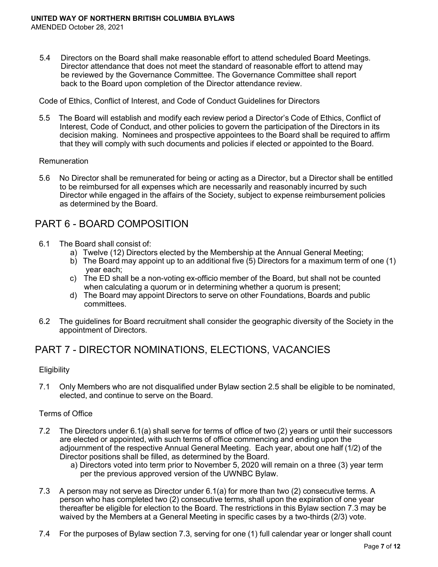5.4 Directors on the Board shall make reasonable effort to attend scheduled Board Meetings. Director attendance that does not meet the standard of reasonable effort to attend may be reviewed by the Governance Committee. The Governance Committee shall report back to the Board upon completion of the Director attendance review.

Code of Ethics, Conflict of Interest, and Code of Conduct Guidelines for Directors

5.5 The Board will establish and modify each review period a Director's Code of Ethics, Conflict of Interest, Code of Conduct, and other policies to govern the participation of the Directors in its decision making. Nominees and prospective appointees to the Board shall be required to affirm that they will comply with such documents and policies if elected or appointed to the Board.

#### **Remuneration**

5.6 No Director shall be remunerated for being or acting as a Director, but a Director shall be entitled to be reimbursed for all expenses which are necessarily and reasonably incurred by such Director while engaged in the affairs of the Society, subject to expense reimbursement policies as determined by the Board.

### <span id="page-6-0"></span>PART 6 - BOARD COMPOSITION

- 6.1 The Board shall consist of:
	- a) Twelve (12) Directors elected by the Membership at the Annual General Meeting;
	- b) The Board may appoint up to an additional five (5) Directors for a maximum term of one (1) year each;
	- c) The ED shall be a non-voting ex-officio member of the Board, but shall not be counted when calculating a quorum or in determining whether a quorum is present;
	- d) The Board may appoint Directors to serve on other Foundations, Boards and public committees.
- 6.2 The guidelines for Board recruitment shall consider the geographic diversity of the Society in the appointment of Directors.

### <span id="page-6-1"></span>PART 7 - DIRECTOR NOMINATIONS, ELECTIONS, VACANCIES

#### **Eligibility**

7.1 Only Members who are not disqualified under Bylaw section 2.5 shall be eligible to be nominated, elected, and continue to serve on the Board.

#### Terms of Office

- 7.2 The Directors under 6.1(a) shall serve for terms of office of two (2) years or until their successors are elected or appointed, with such terms of office commencing and ending upon the adjournment of the respective Annual General Meeting. Each year, about one half (1/2) of the Director positions shall be filled, as determined by the Board.
	- a) Directors voted into term prior to November 5, 2020 will remain on a three (3) year term per the previous approved version of the UWNBC Bylaw.
- 7.3 A person may not serve as Director under 6.1(a) for more than two (2) consecutive terms. A person who has completed two (2) consecutive terms, shall upon the expiration of one year thereafter be eligible for election to the Board. The restrictions in this Bylaw section 7.3 may be waived by the Members at a General Meeting in specific cases by a two-thirds (2/3) vote.
- 7.4 For the purposes of Bylaw section 7.3, serving for one (1) full calendar year or longer shall count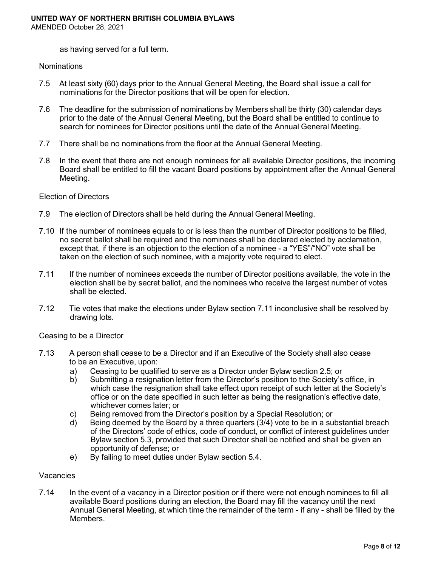as having served for a full term.

#### **Nominations**

- 7.5 At least sixty (60) days prior to the Annual General Meeting, the Board shall issue a call for nominations for the Director positions that will be open for election.
- 7.6 The deadline for the submission of nominations by Members shall be thirty (30) calendar days prior to the date of the Annual General Meeting, but the Board shall be entitled to continue to search for nominees for Director positions until the date of the Annual General Meeting.
- 7.7 There shall be no nominations from the floor at the Annual General Meeting.
- 7.8 In the event that there are not enough nominees for all available Director positions, the incoming Board shall be entitled to fill the vacant Board positions by appointment after the Annual General Meeting.

#### Election of Directors

- 7.9 The election of Directors shall be held during the Annual General Meeting.
- 7.10 If the number of nominees equals to or is less than the number of Director positions to be filled, no secret ballot shall be required and the nominees shall be declared elected by acclamation, except that, if there is an objection to the election of a nominee - a "YES"/"NO" vote shall be taken on the election of such nominee, with a majority vote required to elect.
- 7.11 If the number of nominees exceeds the number of Director positions available, the vote in the election shall be by secret ballot, and the nominees who receive the largest number of votes shall be elected.
- 7.12 Tie votes that make the elections under Bylaw section 7.11 inconclusive shall be resolved by drawing lots.

#### Ceasing to be a Director

- 7.13 A person shall cease to be a Director and if an Executive of the Society shall also cease to be an Executive, upon:
	- a) Ceasing to be qualified to serve as a Director under Bylaw section 2.5; or
	- b) Submitting a resignation letter from the Director's position to the Society's office, in which case the resignation shall take effect upon receipt of such letter at the Society's office or on the date specified in such letter as being the resignation's effective date, whichever comes later; or
	- c) Being removed from the Director's position by a Special Resolution; or coloney by the Board by the Board by a three quarters (3/4) vote to be in a su
	- Being deemed by the Board by a three quarters  $(3/4)$  vote to be in a substantial breach of the Directors' code of ethics, code of conduct, or conflict of interest guidelines under Bylaw section 5.3, provided that such Director shall be notified and shall be given an opportunity of defense; or
	- e) By failing to meet duties under Bylaw section 5.4.

#### Vacancies

7.14 In the event of a vacancy in a Director position or if there were not enough nominees to fill all available Board positions during an election, the Board may fill the vacancy until the next Annual General Meeting, at which time the remainder of the term - if any - shall be filled by the Members.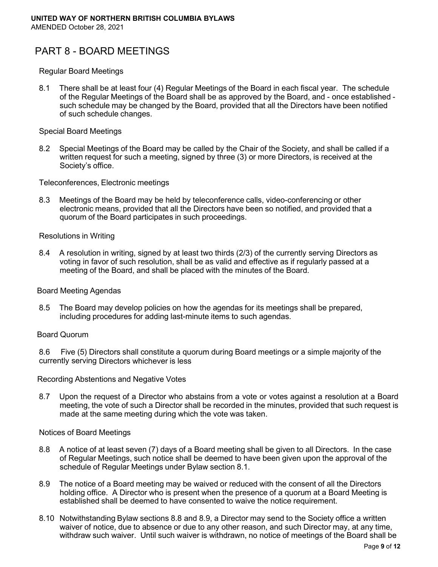# <span id="page-8-0"></span>PART 8 - BOARD MEETINGS

#### Regular Board Meetings

8.1 There shall be at least four (4) Regular Meetings of the Board in each fiscal year. The schedule of the Regular Meetings of the Board shall be as approved by the Board, and - once established such schedule may be changed by the Board, provided that all the Directors have been notified of such schedule changes.

#### Special Board Meetings

8.2 Special Meetings of the Board may be called by the Chair of the Society, and shall be called if a written request for such a meeting, signed by three (3) or more Directors, is received at the Society's office.

Teleconferences, Electronic meetings

8.3 Meetings of the Board may be held by teleconference calls, video-conferencing or other electronic means, provided that all the Directors have been so notified, and provided that a quorum of the Board participates in such proceedings.

#### Resolutions in Writing

8.4 A resolution in writing, signed by at least two thirds (2/3) of the currently serving Directors as voting in favor of such resolution, shall be as valid and effective as if regularly passed at a meeting of the Board, and shall be placed with the minutes of the Board.

#### Board Meeting Agendas

8.5 The Board may develop policies on how the agendas for its meetings shall be prepared, including procedures for adding last-minute items to such agendas.

#### Board Quorum

8.6 Five (5) Directors shall constitute a quorum during Board meetings or a simple majority of the currently serving Directors whichever is less

#### Recording Abstentions and Negative Votes

8.7 Upon the request of a Director who abstains from a vote or votes against a resolution at a Board meeting, the vote of such a Director shall be recorded in the minutes, provided that such request is made at the same meeting during which the vote was taken.

#### Notices of Board Meetings

- 8.8 A notice of at least seven (7) days of a Board meeting shall be given to all Directors. In the case of Regular Meetings, such notice shall be deemed to have been given upon the approval of the schedule of Regular Meetings under Bylaw section 8.1.
- 8.9 The notice of a Board meeting may be waived or reduced with the consent of all the Directors holding office. A Director who is present when the presence of a quorum at a Board Meeting is established shall be deemed to have consented to waive the notice requirement.
- 8.10 Notwithstanding Bylaw sections 8.8 and 8.9, a Director may send to the Society office a written waiver of notice, due to absence or due to any other reason, and such Director may, at any time, withdraw such waiver. Until such waiver is withdrawn, no notice of meetings of the Board shall be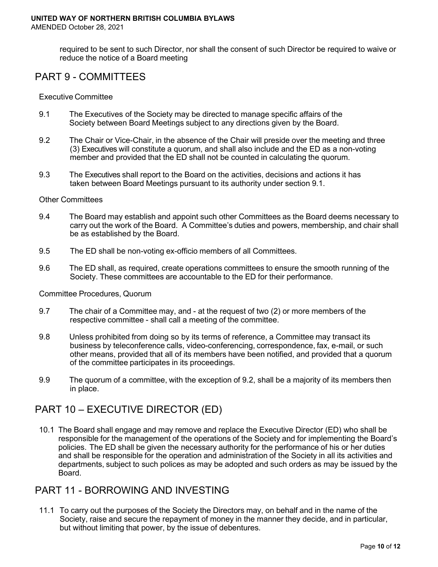required to be sent to such Director, nor shall the consent of such Director be required to waive or reduce the notice of a Board meeting

# <span id="page-9-0"></span>PART 9 - COMMITTEES

#### Executive Committee

- 9.1 The Executives of the Society may be directed to manage specific affairs of the Society between Board Meetings subject to any directions given by the Board.
- 9.2 The Chair or Vice-Chair, in the absence of the Chair will preside over the meeting and three (3) Executives will constitute a quorum, and shall also include and the ED as a non-voting member and provided that the ED shall not be counted in calculating the quorum.
- 9.3 The Executives shall report to the Board on the activities, decisions and actions it has taken between Board Meetings pursuant to its authority under section 9.1.

#### Other Committees

- 9.4 The Board may establish and appoint such other Committees as the Board deems necessary to carry out the work of the Board. A Committee's duties and powers, membership, and chair shall be as established by the Board.
- 9.5 The ED shall be non-voting ex-officio members of all Committees.
- 9.6 The ED shall, as required, create operations committees to ensure the smooth running of the Society. These committees are accountable to the ED for their performance.

#### Committee Procedures, Quorum

- 9.7 The chair of a Committee may, and at the request of two (2) or more members of the respective committee - shall call a meeting of the committee.
- 9.8 Unless prohibited from doing so by its terms of reference, a Committee may transact its business by teleconference calls, video-conferencing, correspondence, fax, e-mail, or such other means, provided that all of its members have been notified, and provided that a quorum of the committee participates in its proceedings.
- 9.9 The quorum of a committee, with the exception of 9.2, shall be a majority of its members then in place.

### <span id="page-9-1"></span>PART 10 – EXECUTIVE DIRECTOR (ED)

10.1 The Board shall engage and may remove and replace the Executive Director (ED) who shall be responsible for the management of the operations of the Society and for implementing the Board's policies. The ED shall be given the necessary authority for the performance of his or her duties and shall be responsible for the operation and administration of the Society in all its activities and departments, subject to such polices as may be adopted and such orders as may be issued by the Board.

### <span id="page-9-2"></span>PART 11 - BORROWING AND INVESTING

11.1 To carry out the purposes of the Society the Directors may, on behalf and in the name of the Society, raise and secure the repayment of money in the manner they decide, and in particular, but without limiting that power, by the issue of debentures.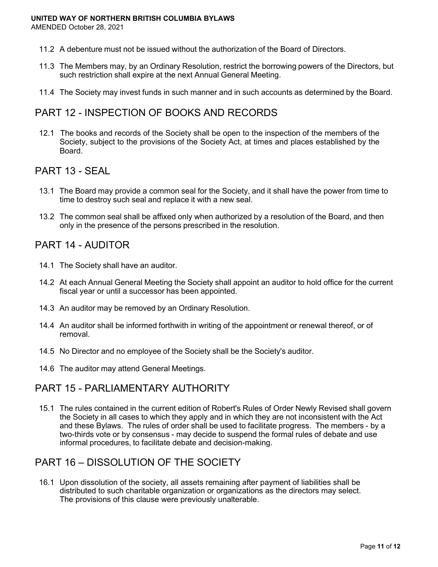- 11.2 A debenture must not be issued without the authorization of the Board of Directors.
- 11.3 The Members may, by an Ordinary Resolution, restrict the borrowing powers of the Directors, but such restriction shall expire at the next Annual General Meeting.
- 11.4 The Society may invest funds in such manner and in such accounts as determined by the Board.

# <span id="page-10-0"></span>PART 12 - INSPECTION OF BOOKS AND RECORDS

12.1 The books and records of the Society shall be open to the inspection of the members of the Society, subject to the provisions of the Society Act, at times and places established by the Board.

## <span id="page-10-1"></span>PART 13 - SEAL

- 13.1 The Board may provide a common seal for the Society, and it shall have the power from time to time to destroy such seal and replace it with a new seal.
- 13.2 The common seal shall be affixed only when authorized by a resolution of the Board, and then only in the presence of the persons prescribed in the resolution.

## <span id="page-10-2"></span>PART 14 - AUDITOR

- 14.1 The Society shall have an auditor.
- 14.2 At each Annual General Meeting the Society shall appoint an auditor to hold office for the current fiscal year or until a successor has been appointed.
- 14.3 An auditor may be removed by an Ordinary Resolution.
- 14.4 An auditor shall be informed forthwith in writing of the appointment or renewal thereof, or of removal.
- 14.5 No Director and no employee of the Society shall be the Society's auditor.
- 14.6 The auditor may attend General Meetings.

### <span id="page-10-3"></span>PART 15 - PARLIAMENTARY AUTHORITY

15.1 The rules contained in the current edition of Robert's Rules of Order Newly Revised shall govern the Society in all cases to which they apply and in which they are not inconsistent with the Act and these Bylaws. The rules of order shall be used to facilitate progress. The members - by a two-thirds vote or by consensus - may decide to suspend the formal rules of debate and use informal procedures, to facilitate debate and decision-making.

# <span id="page-10-4"></span>PART 16 – DISSOLUTION OF THE SOCIETY

16.1 Upon dissolution of the society, all assets remaining after payment of liabilities shall be distributed to such charitable organization or organizations as the directors may select. The provisions of this clause were previously unalterable.